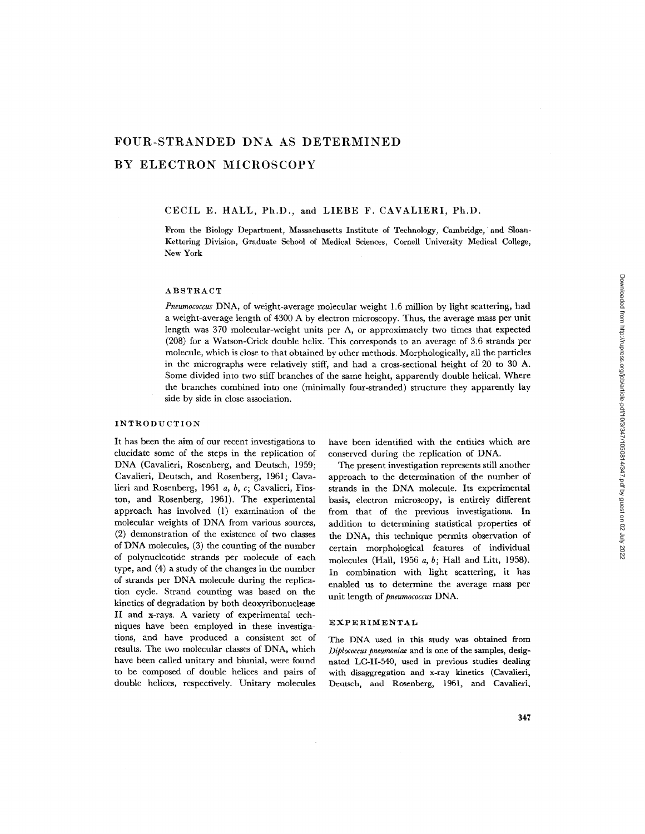# FOUR-STRANDED DNA AS DETERMINED BY ELECTRON MICROSCOPY

## CECIL E. HALL, Ph.D., and LIEBE F. CAVALIERI, Ph.D.

From the Biology Department, Massachusetts Institute of Technology, Cambridge, and Sloan-Kettering Division, Graduate School of Medical Sciences, Cornell University Medical College, New York

# ABSTRACT

*Pneumococcus* DNA, of weight-average molecular weight 1.6 million by light scattering, had a weight-average length of 4300 A by electron microscopy. Thus, the average mass per unit length was 370 molecular-weight units per A, or approximately two times that expected (208) for a Watson-Crick double helix. This corresponds to an average of 3.6 strands per molecule, which is close to that obtained by other methods. Morphologically, all the particles in the micrographs were relatively stiff, and had a cross-sectional height of 20 to 30 A. Some divided into two stiff branches of the same height, apparently double helical. Where the branches combined into one (minimally four-stranded) structure they apparently lay side by side in close association.

# INTRODUCTION

It has been the aim of our recent investigations to elucidate some of the steps in the replication of DNA (Cavalieri, Rosenberg, and Deutsch, 1959; Cavalieri, Deutsch, and Rosenberg, 1961; Cavalieri and Rosenberg, 1961 a, b, c; Cavalieri, Finston, and Rosenberg, 1961). The experimental approach has involved (1) examination of the molecular weights of DNA from various sources, (2) demonstration of the existence of two classes of DNA molecules, (3) the counting of the number of polynucleotide strands per molecule of each type, and (4) a study of the changes in the number of strands per DNA molecule during the replication cycle. Strand counting was based on the kinetics of degradation by both deoxyribonuclease II and x-rays. A variety of experimental techniques have been employed in these investigations, and have produced a consistent set of results. The two molecular classes of DNA, which have been called unitary and biunial, were found to be composed of double helices and pairs of double helices, respectively. Unitary molecules have been identified with the entities which are conserved during the replication of DNA.

The present investigation represents still another approach to the determination of the number of strands in the DNA molecule. Its experimental basis, electron microscopy, is entirely different from that of the previous investigations. In addition to determining statistical properties of the DNA, this technique permits observation of certain morphological features of individual molecules (Hall, 1956  $a, b$ ; Hall and Litt, 1958). In combination with light scattering, it has enabled us to determine the average mass per unit length of *pneumococcus* DNA.

#### EXPERIMENTAL

The DNA used in this study was obtained from *Diplococcus pneumoniae* and is one of the samples, designated LC-II-540, used in previous studies dealing with disaggregation and x-ray kinetics (Cavalieri, Deutsch, and Rosenberg, 1961, and Cavalieri,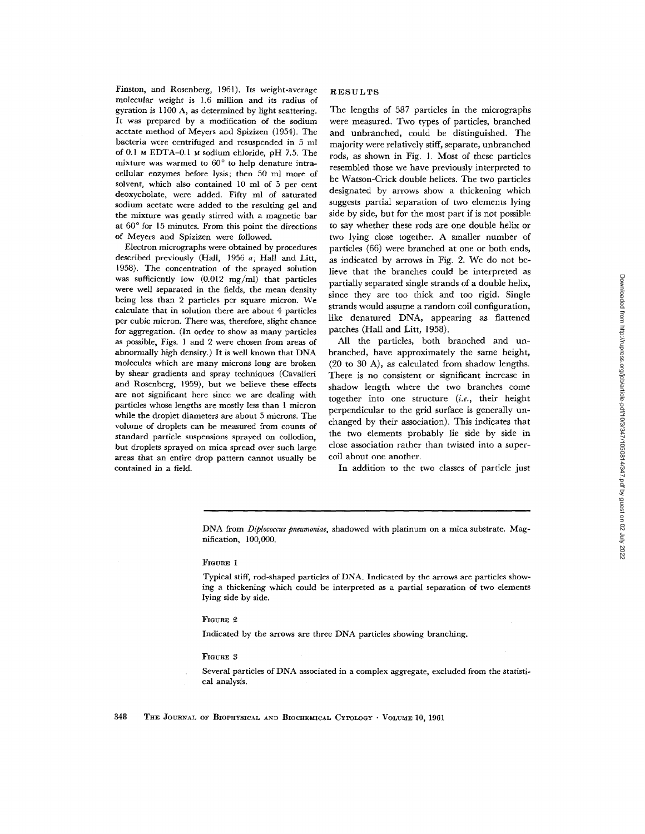Finston, and Rosenberg, 1961). Its weight-average molecular weight is 1.6 million and its radius of gyration is 1100 A, as determined by light scattering. It was prepared by a modification of the sodium acetate method of Meyers and Spizizen (1954). The bacteria were centrifuged and resuspended in 5 ml of  $0.1$  M EDTA-0.1 M sodium chloride, pH 7.5. The mixture was warmed to  $60^{\circ}$  to help denature intracellular enzymes before lysis; then 50 ml more of solvent, which also contained 10 ml of 5 per cent deoxycholate, were added. Fifty ml of saturated sodium acetate were added to the resulting gel and the mixture was gently stirred with a magnetic bar at  $60^{\circ}$  for 15 minutes. From this point the directions of Meyers and Spizizen were followed.

Electron micrographs were obtained by procedures described previously (Hall, 1956 a, Hall and Litt, 1958). The concentration of the sprayed solution was sufficiently low (0.012 mg/ml) that particles were well separated in the fields, the mean density being less than 2 particles per square micron. We calculate that in solution there are about 4 particles per cubic micron. There was, therefore, slight chance for aggregation. (In order to show as many particles as possible, Figs. 1 and 2 were chosen from areas of abnormally high density.) It is well known that DNA molecules which are many microns long are broken by shear gradients and spray techniques (Cavalieri and Rosenberg, 1959), but we believe these effects are not significant here since we are dealing with particles whose lengths are mostly less than 1 micron while the droplet diameters are about 5 microns. The volume of droplets can be measured from counts of standard particle suspensions sprayed on collodion, but droplets sprayed on mica spread over such large areas that an entire drop pattern cannot usually he contained in a field.

## RESULTS

The lengths of 587 particles in the micrographs were measured. Two types of particles, branched and unbranched, could be distinguished. The majority were relatively stiff, separate, unbranched rods, as shown in Fig. 1. Most of these particles resembled those we have previously interpreted to be Watson-Crick double helices. The two particles designated by arrows show a thickening which suggests partial separation of two elements lying side by side, but for the most part if is not possible to say whether these rods are one double helix or two lying close together. A smaller number of particles (66) were branched at one or both ends, as indicated by arrows in Fig. 2. We do not believe that the branches could be interpreted as partially separated single strands of a double helix, since they are too thick and too rigid. Single strands would assume a random coil configuration, like denatured DNA, appearing as flattened patches (Hall and Litt, 1958).

All the particles, both branched and unbranched, have approximately the same height, (20 to 30 A), as calculated from shadow lengths. There is no consistent or significant increase in shadow length where the two branches come together into one structure *(i.e.,* their height perpendicular to the grid surface is generally unchanged by their association). This indicates that the two elements probably lie side by side in close association rather than twisted into a supercoil about one another.

In addition to the two classes of particle just

DNA from *Diplococats pneumoniae,* shadowed with platinum on a mica substrate. Magnification, 100,000.

### FIGURE 1

Typical stiff, rod-shaped particles of DNA. Indicated by the arrows are particles showing a thickening which could be interpreted as a partial separation of two elements lying side by side.

#### FIGURE 2

Indicated by the arrows are three DNA particles showing branching.

#### FIGURE 3

Several particles of DNA associated in a complex aggregate, excluded from the statistical analysis.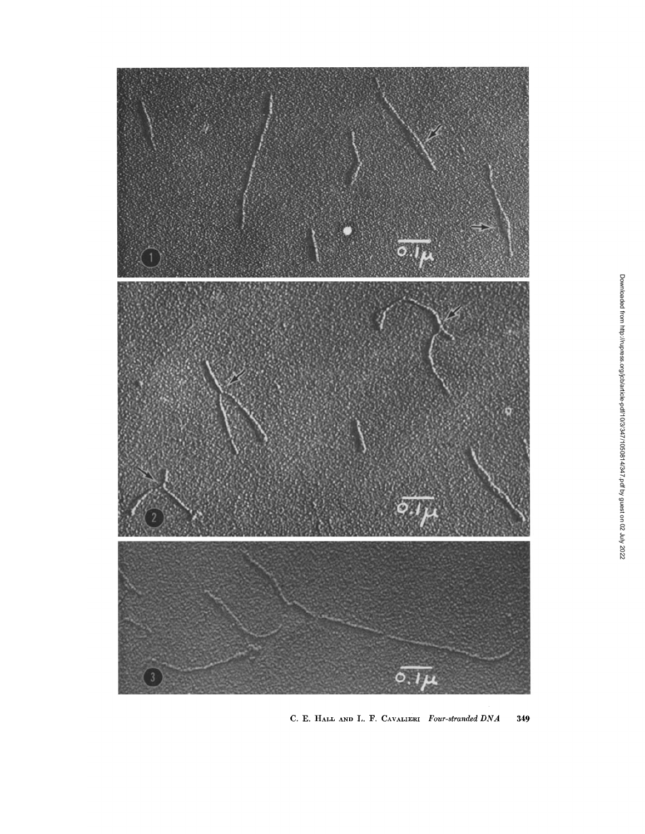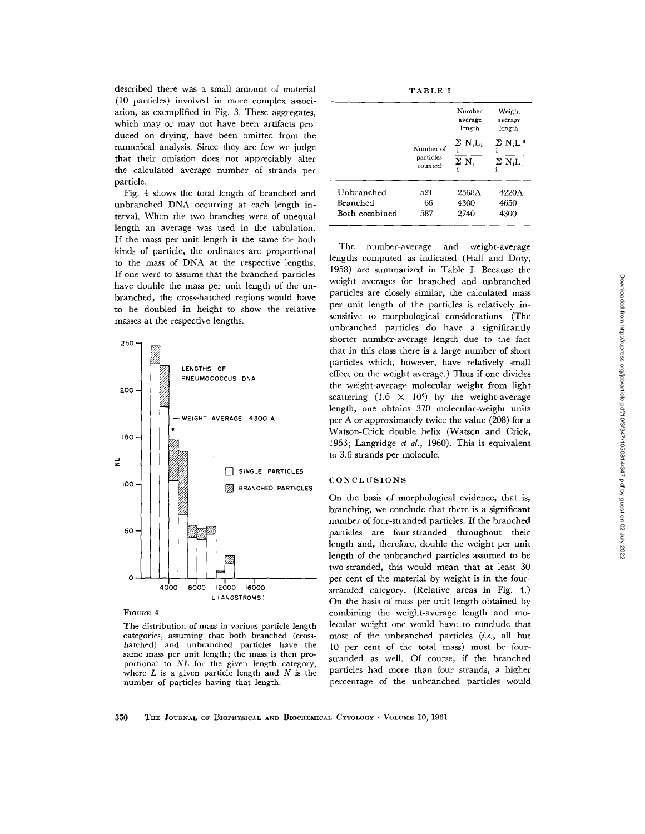described there was a small amount of material (10 particles) involved in more complex association, as exemplified in Fig. 3. These aggregates, which may or may not have been artifacts produced on drying, have been omitted from the numerical analysis. Since they are few we judge that their omission does not appreciably alter the calculated average number of strands per particle.

Fig. 4 shows the total length of branched and unbranched DNA occurring at each length interval. When the two branches were of unequal length an average was used in the tabulation. If the mass per unit length is the same for both kinds of particle, the ordinates are proportional to the mass of DNA at the respective lengths. If one were to assume that the branched particles have double the mass per unit length of the un- ,branched, the cross-hatched regions would have to be doubled in height to show the relative masses at the respective lengths.



#### FIGURE 4

The distribution of mass in various particle length categories, assuming that both branched (crosshatched) and unbranched particles have the same mass per unit length; the mass is then proportional to *NL* for the given length category, where  $L$  is a given particle length and  $N$  is the number of particles having that length.

TABLE I

|               | Number of<br>particles<br>counted | Number<br>average<br>length                           | Weight<br>average<br>length                                          |
|---------------|-----------------------------------|-------------------------------------------------------|----------------------------------------------------------------------|
|               |                                   | $\Sigma$ N <sub>i</sub> L,<br>$\Sigma$ N <sub>i</sub> | $\Sigma$ N.L. <sup>2</sup><br>$\Sigma$ N <sub>i</sub> L <sub>i</sub> |
| Unbranched    | 521                               | 2568A                                                 | 4220A                                                                |
| Branched      | 66                                | 4300                                                  | 4650                                                                 |
| Both combined | 587                               | 2740                                                  | 4300                                                                 |

The number-average and weight-average lengths computed as indicated (Hall and Doty, 1958) are summarized in Table I. Because the weight averages for branched and unbranched particles are closely similar, the calculated mass per unit length of the particles is relatively insensitive to morphological considerations. (The unbranched particles do have a significantly shorter number-average length due to the fact that in this class there is a large number of short particles which, however, have relatively small effect on the weight average.) Thus if one divides the weight-average molecular weight from light scattering  $(1.6 \times 10^6)$  by the weight-average length, one obtains 370 molecular-weight units per A or approximately twice the value (208) for a Watson-Crick double helix (Watson and Crick, 1953; Langridge *et al.,* 1960). This is equivalent to 3.6 strands per molecule.

# **CONCLUSIONS**

On the basis of morphological evidence, that is, branching, we conclude that there is a significant number of four-stranded particles. If the branched particles are four-stranded throughout their length and, therefore, double the weight per unit length of the unbranched particles assumed to be two-stranded, this would mean that at least 30 per cent of the material by weight is in the fourstranded category. (Relative areas in Fig. 4.) On the basis of mass per unit length obtained by combining the weight-average length and molecular weight one would have to conclude that most of the unbranched particles *(i.e.,* all but 10 per cent of the total mass) must be fourstranded as well. Of course, if the branched particles had more than four strands, a higher percentage of the unbranched particles would